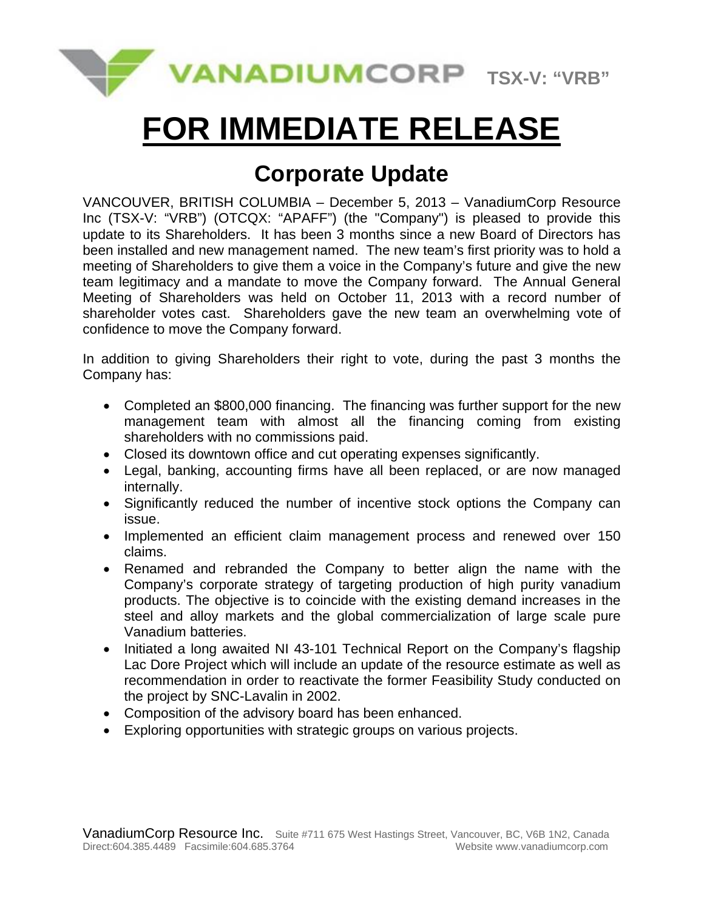

# **FOR IMMEDIATE RELEASE**

## **Corporate Update**

VANCOUVER, BRITISH COLUMBIA – December 5, 2013 – VanadiumCorp Resource Inc (TSX-V: "VRB") (OTCQX: "APAFF") (the "Company") is pleased to provide this update to its Shareholders. It has been 3 months since a new Board of Directors has been installed and new management named. The new team's first priority was to hold a meeting of Shareholders to give them a voice in the Company's future and give the new team legitimacy and a mandate to move the Company forward. The Annual General Meeting of Shareholders was held on October 11, 2013 with a record number of shareholder votes cast. Shareholders gave the new team an overwhelming vote of confidence to move the Company forward.

In addition to giving Shareholders their right to vote, during the past 3 months the Company has:

- Completed an \$800,000 financing. The financing was further support for the new management team with almost all the financing coming from existing shareholders with no commissions paid.
- Closed its downtown office and cut operating expenses significantly.
- Legal, banking, accounting firms have all been replaced, or are now managed internally.
- Significantly reduced the number of incentive stock options the Company can issue.
- Implemented an efficient claim management process and renewed over 150 claims.
- Renamed and rebranded the Company to better align the name with the Company's corporate strategy of targeting production of high purity vanadium products. The objective is to coincide with the existing demand increases in the steel and alloy markets and the global commercialization of large scale pure Vanadium batteries.
- Initiated a long awaited NI 43-101 Technical Report on the Company's flagship Lac Dore Project which will include an update of the resource estimate as well as recommendation in order to reactivate the former Feasibility Study conducted on the project by SNC-Lavalin in 2002.
- Composition of the advisory board has been enhanced.
- Exploring opportunities with strategic groups on various projects.